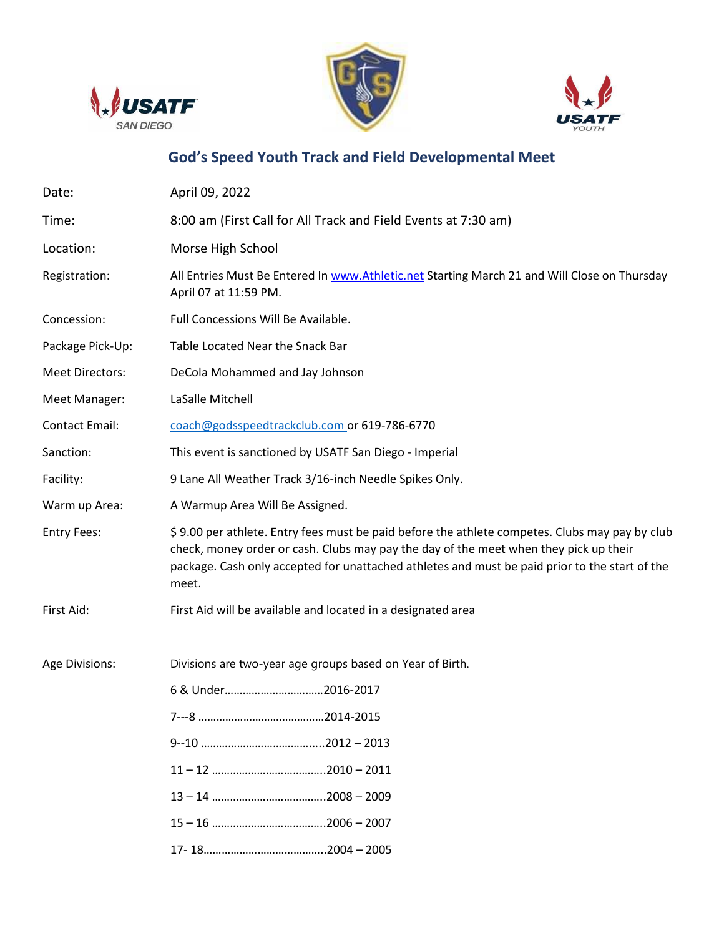





# **God's Speed Youth Track and Field Developmental Meet**

| Date:                  | April 09, 2022                                                                                                                                                                                                                                                                                     |  |  |
|------------------------|----------------------------------------------------------------------------------------------------------------------------------------------------------------------------------------------------------------------------------------------------------------------------------------------------|--|--|
| Time:                  | 8:00 am (First Call for All Track and Field Events at 7:30 am)                                                                                                                                                                                                                                     |  |  |
| Location:              | Morse High School                                                                                                                                                                                                                                                                                  |  |  |
| Registration:          | All Entries Must Be Entered In www.Athletic.net Starting March 21 and Will Close on Thursday<br>April 07 at 11:59 PM.                                                                                                                                                                              |  |  |
| Concession:            | Full Concessions Will Be Available.                                                                                                                                                                                                                                                                |  |  |
| Package Pick-Up:       | Table Located Near the Snack Bar                                                                                                                                                                                                                                                                   |  |  |
| <b>Meet Directors:</b> | DeCola Mohammed and Jay Johnson                                                                                                                                                                                                                                                                    |  |  |
| Meet Manager:          | LaSalle Mitchell                                                                                                                                                                                                                                                                                   |  |  |
| <b>Contact Email:</b>  | coach@godsspeedtrackclub.com or 619-786-6770                                                                                                                                                                                                                                                       |  |  |
| Sanction:              | This event is sanctioned by USATF San Diego - Imperial                                                                                                                                                                                                                                             |  |  |
| Facility:              | 9 Lane All Weather Track 3/16-inch Needle Spikes Only.                                                                                                                                                                                                                                             |  |  |
| Warm up Area:          | A Warmup Area Will Be Assigned.                                                                                                                                                                                                                                                                    |  |  |
| <b>Entry Fees:</b>     | \$9.00 per athlete. Entry fees must be paid before the athlete competes. Clubs may pay by club<br>check, money order or cash. Clubs may pay the day of the meet when they pick up their<br>package. Cash only accepted for unattached athletes and must be paid prior to the start of the<br>meet. |  |  |
| First Aid:             | First Aid will be available and located in a designated area                                                                                                                                                                                                                                       |  |  |
| Age Divisions:         | Divisions are two-year age groups based on Year of Birth.                                                                                                                                                                                                                                          |  |  |
|                        | 6 & Under2016-2017                                                                                                                                                                                                                                                                                 |  |  |
|                        |                                                                                                                                                                                                                                                                                                    |  |  |
|                        |                                                                                                                                                                                                                                                                                                    |  |  |
|                        |                                                                                                                                                                                                                                                                                                    |  |  |
|                        |                                                                                                                                                                                                                                                                                                    |  |  |
|                        |                                                                                                                                                                                                                                                                                                    |  |  |
|                        |                                                                                                                                                                                                                                                                                                    |  |  |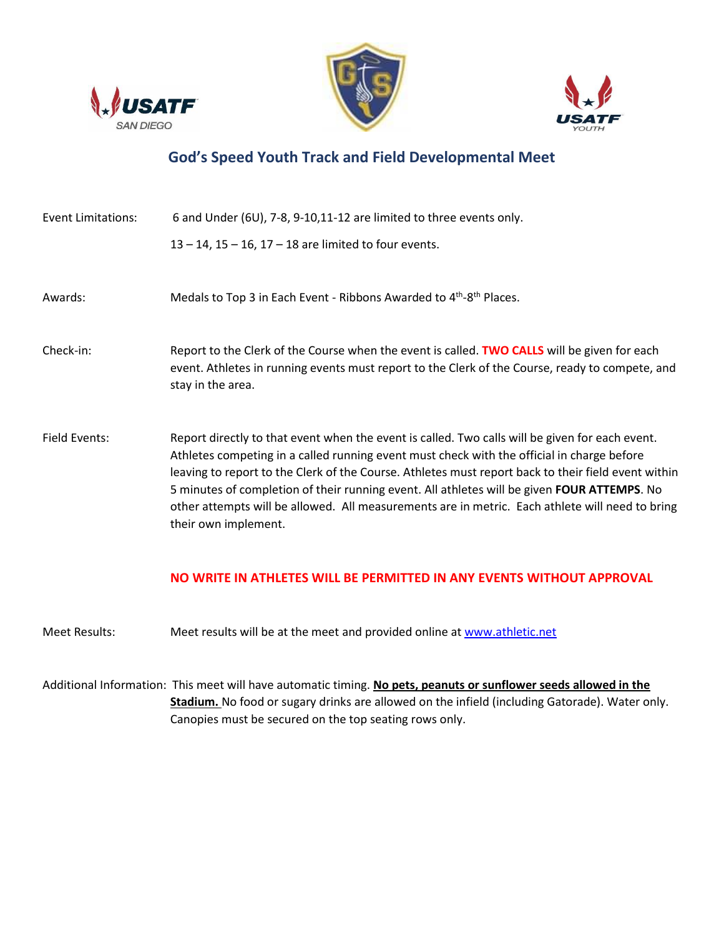





### **God's Speed Youth Track and Field Developmental Meet**

| <b>Event Limitations:</b> | 6 and Under (6U), 7-8, 9-10,11-12 are limited to three events only.                                                                                                                                                                                                                                                                                                                                                                                                                                                            |  |
|---------------------------|--------------------------------------------------------------------------------------------------------------------------------------------------------------------------------------------------------------------------------------------------------------------------------------------------------------------------------------------------------------------------------------------------------------------------------------------------------------------------------------------------------------------------------|--|
|                           | $13 - 14$ , $15 - 16$ , $17 - 18$ are limited to four events.                                                                                                                                                                                                                                                                                                                                                                                                                                                                  |  |
| Awards:                   | Medals to Top 3 in Each Event - Ribbons Awarded to 4 <sup>th</sup> -8 <sup>th</sup> Places.                                                                                                                                                                                                                                                                                                                                                                                                                                    |  |
| Check-in:                 | Report to the Clerk of the Course when the event is called. TWO CALLS will be given for each<br>event. Athletes in running events must report to the Clerk of the Course, ready to compete, and<br>stay in the area.                                                                                                                                                                                                                                                                                                           |  |
| Field Events:             | Report directly to that event when the event is called. Two calls will be given for each event.<br>Athletes competing in a called running event must check with the official in charge before<br>leaving to report to the Clerk of the Course. Athletes must report back to their field event within<br>5 minutes of completion of their running event. All athletes will be given FOUR ATTEMPS. No<br>other attempts will be allowed. All measurements are in metric. Each athlete will need to bring<br>their own implement. |  |

#### **NO WRITE IN ATHLETES WILL BE PERMITTED IN ANY EVENTS WITHOUT APPROVAL**

- Meet Results: Meet results will be at the meet and provided online at www.athletic.net
- Additional Information: This meet will have automatic timing. **No pets, peanuts or sunflower seeds allowed in the Stadium.** No food or sugary drinks are allowed on the infield (including Gatorade). Water only. Canopies must be secured on the top seating rows only.